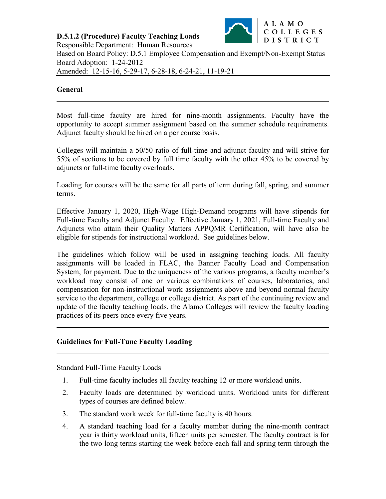**D.5.1.2 (Procedure) Faculty Teaching Loads** Responsible Department: Human Resources



Based on Board Policy: D.5.1 Employee Compensation and Exempt/Non-Exempt Status Board Adoption: 1-24-2012 Amended: 12-15-16, 5-29-17, 6-28-18, 6-24-21, 11-19-21

### **General**

Most full-time faculty are hired for nine-month assignments. Faculty have the opportunity to accept summer assignment based on the summer schedule requirements. Adjunct faculty should be hired on a per course basis.

Colleges will maintain a 50/50 ratio of full-time and adjunct faculty and will strive for 55% of sections to be covered by full time faculty with the other 45% to be covered by adjuncts or full-time faculty overloads.

Loading for courses will be the same for all parts of term during fall, spring, and summer terms.

Effective January 1, 2020, High-Wage High-Demand programs will have stipends for Full-time Faculty and Adjunct Faculty. Effective January 1, 2021, Full-time Faculty and Adjuncts who attain their Quality Matters APPQMR Certification, will have also be eligible for stipends for instructional workload. See guidelines below.

The guidelines which follow will be used in assigning teaching loads. All faculty assignments will be loaded in FLAC, the Banner Faculty Load and Compensation System, for payment. Due to the uniqueness of the various programs, a faculty member's workload may consist of one or various combinations of courses, laboratories, and compensation for non-instructional work assignments above and beyond normal faculty service to the department, college or college district. As part of the continuing review and update of the faculty teaching loads, the Alamo Colleges will review the faculty loading practices of its peers once every five years.

## **Guidelines for Full-Tune Faculty Loading**

Standard Full-Time Faculty Loads

- 1. Full-time faculty includes all faculty teaching 12 or more workload units.
- 2. Faculty loads are determined by workload units. Workload units for different types of courses are defined below.
- 3. The standard work week for full-time faculty is 40 hours.
- 4. A standard teaching load for a faculty member during the nine-month contract year is thirty workload units, fifteen units per semester. The faculty contract is for the two long terms starting the week before each fall and spring term through the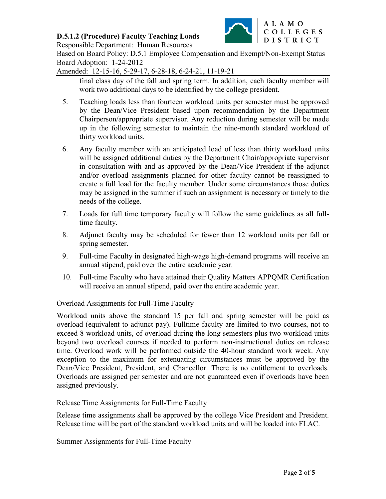

Responsible Department: Human Resources

Based on Board Policy: D.5.1 Employee Compensation and Exempt/Non-Exempt Status Board Adoption: 1-24-2012

Amended: 12-15-16, 5-29-17, 6-28-18, 6-24-21, 11-19-21

final class day of the fall and spring term. In addition, each faculty member will work two additional days to be identified by the college president.

- 5. Teaching loads less than fourteen workload units per semester must be approved by the Dean/Vice President based upon recommendation by the Department Chairperson/appropriate supervisor. Any reduction during semester will be made up in the following semester to maintain the nine-month standard workload of thirty workload units.
- 6. Any faculty member with an anticipated load of less than thirty workload units will be assigned additional duties by the Department Chair/appropriate supervisor in consultation with and as approved by the Dean/Vice President if the adjunct and/or overload assignments planned for other faculty cannot be reassigned to create a full load for the faculty member. Under some circumstances those duties may be assigned in the summer if such an assignment is necessary or timely to the needs of the college.
- 7. Loads for full time temporary faculty will follow the same guidelines as all fulltime faculty.
- 8. Adjunct faculty may be scheduled for fewer than 12 workload units per fall or spring semester.
- 9. Full-time Faculty in designated high-wage high-demand programs will receive an annual stipend, paid over the entire academic year.
- 10. Full-time Faculty who have attained their Quality Matters APPQMR Certification will receive an annual stipend, paid over the entire academic year.

Overload Assignments for Full-Time Faculty

Workload units above the standard 15 per fall and spring semester will be paid as overload (equivalent to adjunct pay). Fulltime faculty are limited to two courses, not to exceed 8 workload units, of overload during the long semesters plus two workload units beyond two overload courses if needed to perform non-instructional duties on release time. Overload work will be performed outside the 40-hour standard work week. Any exception to the maximum for extenuating circumstances must be approved by the Dean/Vice President, President, and Chancellor. There is no entitlement to overloads. Overloads are assigned per semester and are not guaranteed even if overloads have been assigned previously.

Release Time Assignments for Full-Time Faculty

Release time assignments shall be approved by the college Vice President and President. Release time will be part of the standard workload units and will be loaded into FLAC.

Summer Assignments for Full-Time Faculty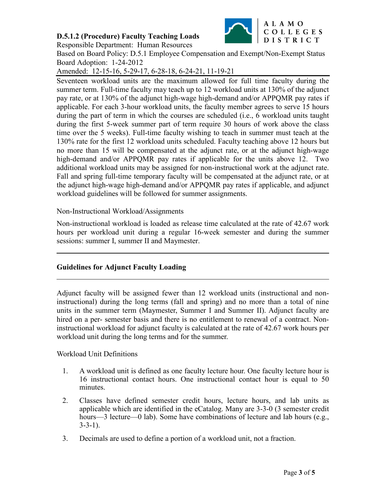

Responsible Department: Human Resources

Based on Board Policy: D.5.1 Employee Compensation and Exempt/Non-Exempt Status Board Adoption: 1-24-2012

Amended: 12-15-16, 5-29-17, 6-28-18, 6-24-21, 11-19-21

Seventeen workload units are the maximum allowed for full time faculty during the summer term. Full-time faculty may teach up to 12 workload units at 130% of the adjunct pay rate, or at 130% of the adjunct high-wage high-demand and/or APPQMR pay rates if applicable. For each 3-hour workload units, the faculty member agrees to serve 15 hours during the part of term in which the courses are scheduled (i.e., 6 workload units taught during the first 5-week summer part of term require 30 hours of work above the class time over the 5 weeks). Full-time faculty wishing to teach in summer must teach at the 130% rate for the first 12 workload units scheduled. Faculty teaching above 12 hours but no more than 15 will be compensated at the adjunct rate, or at the adjunct high-wage high-demand and/or APPQMR pay rates if applicable for the units above 12. Two additional workload units may be assigned for non-instructional work at the adjunct rate. Fall and spring full-time temporary faculty will be compensated at the adjunct rate, or at the adjunct high-wage high-demand and/or APPQMR pay rates if applicable, and adjunct workload guidelines will be followed for summer assignments.

#### Non-Instructional Workload/Assignments

Non-instructional workload is loaded as release time calculated at the rate of 42.67 work hours per workload unit during a regular 16-week semester and during the summer sessions: summer I, summer II and Maymester.

# **Guidelines for Adjunct Faculty Loading**

Adjunct faculty will be assigned fewer than 12 workload units (instructional and noninstructional) during the long terms (fall and spring) and no more than a total of nine units in the summer term (Maymester, Summer I and Summer II). Adjunct faculty are hired on a per- semester basis and there is no entitlement to renewal of a contract. Noninstructional workload for adjunct faculty is calculated at the rate of 42.67 work hours per workload unit during the long terms and for the summer.

Workload Unit Definitions

- 1. A workload unit is defined as one faculty lecture hour. One faculty lecture hour is 16 instructional contact hours. One instructional contact hour is equal to 50 minutes.
- 2. Classes have defined semester credit hours, lecture hours, and lab units as applicable which are identified in the eCatalog. Many are 3-3-0 (3 semester credit hours—3 lecture—0 lab). Some have combinations of lecture and lab hours (e.g., 3-3-1).
- 3. Decimals are used to define a portion of a workload unit, not a fraction.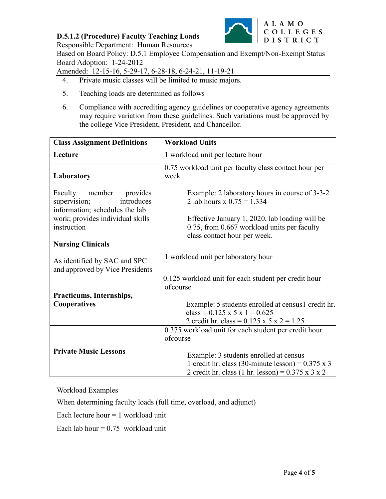

Responsible Department: Human Resources

Based on Board Policy: D.5.1 Employee Compensation and Exempt/Non-Exempt Status Board Adoption: 1-24-2012

Amended: 12-15-16, 5-29-17, 6-28-18, 6-24-21, 11-19-21

- 4. Private music classes will be limited to music majors.
- 5. Teaching loads are determined as follows
- 6. Compliance with accrediting agency guidelines or cooperative agency agreements may require variation from these guidelines. Such variations must be approved by the college Vice President, President, and Chancellor.

| <b>Class Assignment Definitions</b>                                                        | <b>Workload Units</b>                                                                                                                                               |
|--------------------------------------------------------------------------------------------|---------------------------------------------------------------------------------------------------------------------------------------------------------------------|
| Lecture                                                                                    | 1 workload unit per lecture hour                                                                                                                                    |
| Laboratory                                                                                 | 0.75 workload unit per faculty class contact hour per<br>week                                                                                                       |
| Faculty member<br>provides<br>supervision;<br>introduces<br>information; schedules the lab | Example: 2 laboratory hours in course of 3-3-2<br>2 lab hours x $0.75 = 1.334$                                                                                      |
| work; provides individual skills<br>instruction                                            | Effective January 1, 2020, lab loading will be<br>0.75, from 0.667 workload units per faculty<br>class contact hour per week.                                       |
| <b>Nursing Clinicals</b>                                                                   |                                                                                                                                                                     |
| As identified by SAC and SPC<br>and approved by Vice Presidents                            | 1 workload unit per laboratory hour                                                                                                                                 |
|                                                                                            | 0.125 workload unit for each student per credit hour<br>ofcourse                                                                                                    |
| Practicums, Internships,                                                                   |                                                                                                                                                                     |
| Cooperatives                                                                               | Example: 5 students enrolled at census1 credit hr.                                                                                                                  |
|                                                                                            | class = $0.125 \times 5 \times 1 = 0.625$                                                                                                                           |
|                                                                                            | 2 credit hr. class = $0.125 \times 5 \times 2 = 1.25$                                                                                                               |
|                                                                                            | 0.375 workload unit for each student per credit hour                                                                                                                |
|                                                                                            | ofcourse                                                                                                                                                            |
| <b>Private Music Lessons</b>                                                               | Example: 3 students enrolled at census<br>1 credit hr. class (30-minute lesson) = $0.375 \times 3$<br>2 credit hr. class (1 hr. lesson) = $0.375 \times 3 \times 2$ |

Workload Examples

When determining faculty loads (full time, overload, and adjunct)

Each lecture hour  $= 1$  workload unit

Each lab hour  $= 0.75$  workload unit